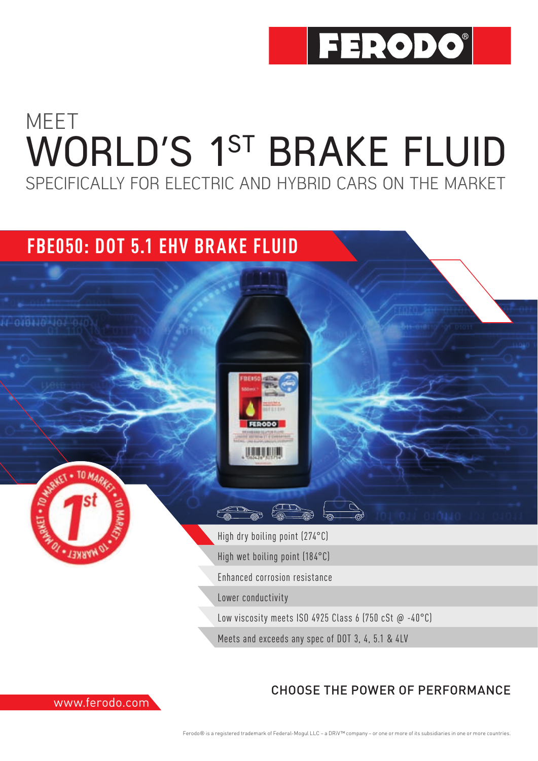

# MEET WORLD'S 1ST BRAKE FLUID SPECIFICALLY FOR ELECTRIC AND HYBRID CARS ON THE MARKET

### **FBE050: DOT 5.1 EHV BRAKE FLUID**





High dry boiling point (274°C) High wet boiling point (184°C) Enhanced corrosion resistance Lower conductivity Low viscosity meets ISO 4925 Class 6 (750 cSt  $\omega$  -40°C)

**AND** 

Meets and exceeds any spec of DOT 3, 4, 5.1 & 4LV



### CHOOSE THE POWER OF PERFORMANCE